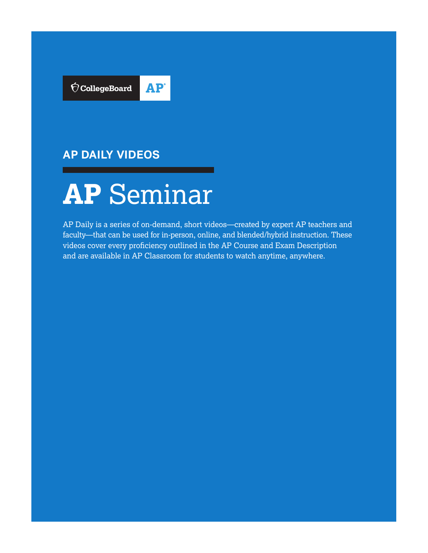

# **AP DAILY VIDEOS**



AP Daily is a series of on-demand, short videos—created by expert AP teachers and faculty—that can be used for in-person, online, and blended/hybrid instruction. These videos cover every proficiency outlined in the AP Course and Exam Description and are available in AP Classroom for students to watch anytime, anywhere.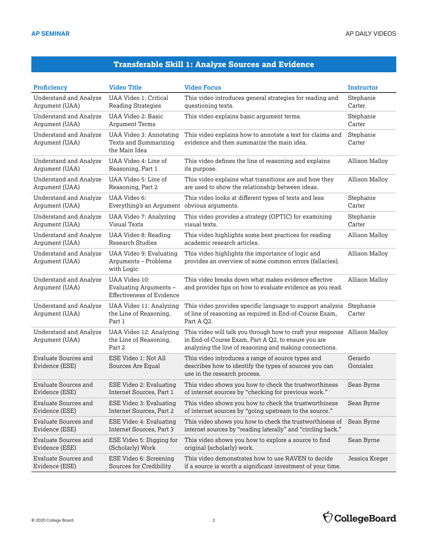### **Transferable Skill 1: Analyze Sources and Evidence**

| <b>Proficiency</b>                              | <b>Video Title</b>                                                          | <b>Video Focus</b>                                                                                                                                                                           | <b>Instructor</b>     |
|-------------------------------------------------|-----------------------------------------------------------------------------|----------------------------------------------------------------------------------------------------------------------------------------------------------------------------------------------|-----------------------|
| <b>Understand and Analyze</b>                   | UAA Video 1: Critical                                                       | This video introduces general strategies for reading and                                                                                                                                     | Stephanie             |
| Argument (UAA)                                  | <b>Reading Strategies</b>                                                   | questioning texts.                                                                                                                                                                           | Carter                |
| <b>Understand and Analyze</b>                   | UAA Video 2: Basic                                                          | This video explains basic argument terms.                                                                                                                                                    | Stephanie             |
| Argument (UAA)                                  | <b>Argument Terms</b>                                                       |                                                                                                                                                                                              | Carter                |
| <b>Understand and Analyze</b><br>Argument (UAA) | <b>UAA Video 3: Annotating</b><br>Texts and Summarizing<br>the Main Idea    | This video explains how to annotate a text for claims and<br>evidence and then summarize the main idea.                                                                                      | Stephanie<br>Carter   |
| <b>Understand and Analyze</b>                   | UAA Video 4: Line of                                                        | This video defines the line of reasoning and explains                                                                                                                                        | <b>Allison Malloy</b> |
| Argument (UAA)                                  | Reasoning, Part 1                                                           | its purpose.                                                                                                                                                                                 |                       |
| <b>Understand and Analyze</b>                   | UAA Video 5: Line of                                                        | This video explains what transitions are and how they                                                                                                                                        | <b>Allison Malloy</b> |
| Argument (UAA)                                  | Reasoning, Part 2                                                           | are used to show the relationship between ideas.                                                                                                                                             |                       |
| <b>Understand and Analyze</b>                   | UAA Video 6:                                                                | This video looks at different types of texts and less                                                                                                                                        | Stephanie             |
| Argument (UAA)                                  | Everything's an Argument obvious arguments.                                 |                                                                                                                                                                                              | Carter                |
| <b>Understand and Analyze</b>                   | UAA Video 7: Analyzing                                                      | This video provides a strategy (OPTIC) for examining                                                                                                                                         | Stephanie             |
| Argument (UAA)                                  | <b>Visual Texts</b>                                                         | visual texts.                                                                                                                                                                                | Carter                |
| <b>Understand and Analyze</b>                   | UAA Video 8: Reading                                                        | This video highlights some best practices for reading                                                                                                                                        | <b>Allison Malloy</b> |
| Argument (UAA)                                  | <b>Research Studies</b>                                                     | academic research articles.                                                                                                                                                                  |                       |
| <b>Understand and Analyze</b><br>Argument (UAA) | UAA Video 9: Evaluating<br>Arguments - Problems<br>with Logic               | This video highlights the importance of logic and<br>provides an overview of some common errors (fallacies).                                                                                 | <b>Allison Malloy</b> |
| <b>Understand and Analyze</b><br>Argument (UAA) | UAA Video 10:<br>Evaluating Arguments -<br><b>Effectiveness of Evidence</b> | This video breaks down what makes evidence effective<br>and provides tips on how to evaluate evidence as you read.                                                                           | <b>Allison Malloy</b> |
| <b>Understand and Analyze</b><br>Argument (UAA) | UAA Video 11: Analyzing<br>the Line of Reasoning,<br>Part 1                 | This video provides specific language to support analysis<br>of line of reasoning as required in End-of-Course Exam,<br>Part A Q2.                                                           | Stephanie<br>Carter   |
| <b>Understand and Analyze</b><br>Argument (UAA) | UAA Video 12: Analyzing<br>the Line of Reasoning,<br>Part 2                 | This video will talk you through how to craft your response Allison Malloy<br>in End-of-Course Exam, Part A Q2, to ensure you are<br>analyzing the line of reasoning and making connections. |                       |
| <b>Evaluate Sources and</b><br>Evidence (ESE)   | ESE Video 1: Not All<br>Sources Are Equal                                   | This video introduces a range of source types and<br>describes how to identify the types of sources you can<br>use in the research process.                                                  | Gerardo<br>Gonzalez   |
| <b>Evaluate Sources and</b>                     | ESE Video 2: Evaluating                                                     | This video shows you how to check the trustworthiness                                                                                                                                        | Sean Byrne            |
| Evidence (ESE)                                  | Internet Sources, Part 1                                                    | of internet sources by "checking for previous work."                                                                                                                                         |                       |
| <b>Evaluate Sources and</b>                     | ESE Video 3: Evaluating                                                     | This video shows you how to check the trustworthiness                                                                                                                                        | Sean Byrne            |
| Evidence (ESE)                                  | Internet Sources, Part 2                                                    | of internet sources by "going upstream to the source."                                                                                                                                       |                       |
| <b>Evaluate Sources and</b>                     | ESE Video 4: Evaluating                                                     | This video shows you how to check the trustworthiness of                                                                                                                                     | Sean Byrne            |
| Evidence (ESE)                                  | Internet Sources, Part 3                                                    | internet sources by "reading laterally" and "circling back."                                                                                                                                 |                       |
| <b>Evaluate Sources and</b>                     | ESE Video 5: Digging for                                                    | This video shows you how to explore a source to find                                                                                                                                         | Sean Byrne            |
| Evidence (ESE)                                  | (Scholarly) Work                                                            | original (scholarly) work.                                                                                                                                                                   |                       |
| <b>Evaluate Sources and</b>                     | ESE Video 6: Screening                                                      | This video demonstrates how to use RAVEN to decide                                                                                                                                           | Jessica Kreger        |
| Evidence (ESE)                                  | Sources for Credibility                                                     | if a source is worth a significant investment of your time.                                                                                                                                  |                       |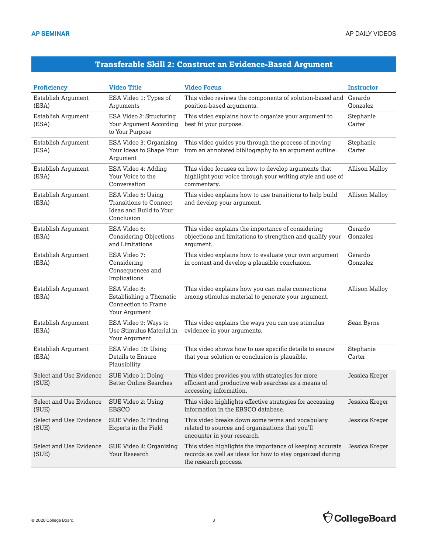## **Transferable Skill 2: Construct an Evidence-Based Argument**

| <b>Proficiency</b>               | <b>Video Title</b>                                                                           | <b>Video Focus</b>                                                                                                                             | Instructor            |
|----------------------------------|----------------------------------------------------------------------------------------------|------------------------------------------------------------------------------------------------------------------------------------------------|-----------------------|
| Establish Argument<br>(ESA)      | ESA Video 1: Types of<br>Arguments                                                           | This video reviews the components of solution-based and<br>position-based arguments.                                                           | Gerardo<br>Gonzalez   |
| Establish Argument<br>(ESA)      | ESA Video 2: Structuring<br>Your Argument According<br>to Your Purpose                       | This video explains how to organize your argument to<br>best fit your purpose.                                                                 | Stephanie<br>Carter   |
| Establish Argument<br>(ESA)      | ESA Video 3: Organizing<br>Your Ideas to Shape Your<br>Argument                              | This video guides you through the process of moving<br>from an annotated bibliography to an argument outline.                                  | Stephanie<br>Carter   |
| Establish Argument<br>(ESA)      | ESA Video 4: Adding<br>Your Voice to the<br>Conversation                                     | This video focuses on how to develop arguments that<br>highlight your voice through your writing style and use of<br>commentary.               | <b>Allison Malloy</b> |
| Establish Argument<br>(ESA)      | ESA Video 5: Using<br><b>Transitions to Connect</b><br>Ideas and Build to Your<br>Conclusion | This video explains how to use transitions to help build<br>and develop your argument.                                                         | <b>Allison Malloy</b> |
| Establish Argument<br>(ESA)      | ESA Video 6:<br><b>Considering Objections</b><br>and Limitations                             | This video explains the importance of considering<br>objections and limitations to strengthen and qualify your<br>argument.                    | Gerardo<br>Gonzalez   |
| Establish Argument<br>(ESA)      | ESA Video 7:<br>Considering<br>Consequences and<br>Implications                              | This video explains how to evaluate your own argument<br>in context and develop a plausible conclusion.                                        | Gerardo<br>Gonzalez   |
| Establish Argument<br>(ESA)      | ESA Video 8:<br>Establishing a Thematic<br>Connection to Frame<br>Your Argument              | This video explains how you can make connections<br>among stimulus material to generate your argument.                                         | <b>Allison Malloy</b> |
| Establish Argument<br>(ESA)      | ESA Video 9: Ways to<br>Use Stimulus Material in<br>Your Argument                            | This video explains the ways you can use stimulus<br>evidence in your arguments.                                                               | Sean Byrne            |
| Establish Argument<br>(ESA)      | ESA Video 10: Using<br>Details to Ensure<br>Plausibility                                     | This video shows how to use specific details to ensure<br>that your solution or conclusion is plausible.                                       | Stephanie<br>Carter   |
| Select and Use Evidence<br>(SUE) | SUE Video 1: Doing<br><b>Better Online Searches</b>                                          | This video provides you with strategies for more<br>efficient and productive web searches as a means of<br>accessing information.              | Jessica Kreger        |
| Select and Use Evidence<br>(SUE) | SUE Video 2: Using<br><b>EBSCO</b>                                                           | This video highlights effective strategies for accessing<br>information in the EBSCO database.                                                 | Jessica Kreger        |
| Select and Use Evidence<br>(SUE) | SUE Video 3: Finding<br>Experts in the Field                                                 | This video breaks down some terms and vocabulary<br>related to sources and organizations that you'll<br>encounter in your research.            | Jessica Kreger        |
| Select and Use Evidence<br>(SUE) | SUE Video 4: Organizing<br>Your Research                                                     | This video highlights the importance of keeping accurate<br>records as well as ideas for how to stay organized during<br>the research process. | Jessica Kreger        |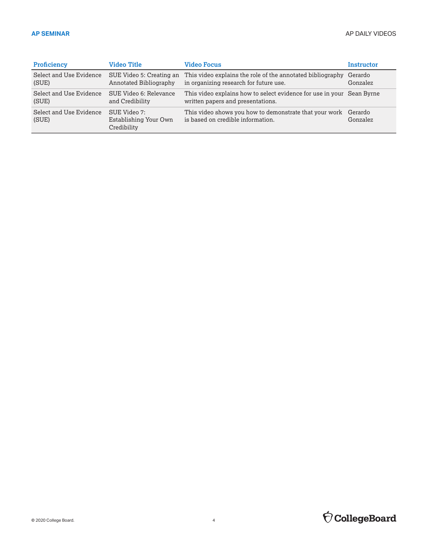| <b>Proficiency</b>               | Video Title                                          | <b>Video Focus</b>                                                                                  | Instructor |
|----------------------------------|------------------------------------------------------|-----------------------------------------------------------------------------------------------------|------------|
| Select and Use Evidence          | SUE Video 5: Creating an                             | This video explains the role of the annotated bibliography                                          | Gerardo    |
| (SUE)                            | Annotated Bibliography                               | in organizing research for future use.                                                              | Gonzalez   |
| Select and Use Evidence          | SUE Video 6: Relevance                               | This video explains how to select evidence for use in your Sean Byrne                               |            |
| (SUE)                            | and Credibility                                      | written papers and presentations.                                                                   |            |
| Select and Use Evidence<br>(SUE) | SUE Video 7:<br>Establishing Your Own<br>Credibility | This video shows you how to demonstrate that your work Gerardo<br>is based on credible information. | Gonzalez   |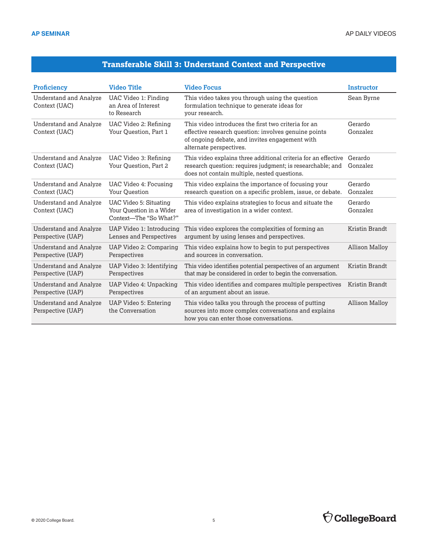#### **Transferable Skill 3: Understand Context and Perspective**

| <b>Proficiency</b>                                 | <b>Video Title</b>                                                                  | <b>Video Focus</b>                                                                                                                                                                       | <b>Instructor</b>     |
|----------------------------------------------------|-------------------------------------------------------------------------------------|------------------------------------------------------------------------------------------------------------------------------------------------------------------------------------------|-----------------------|
| Understand and Analyze<br>Context (UAC)            | UAC Video 1: Finding<br>an Area of Interest<br>to Research                          | This video takes you through using the question<br>formulation technique to generate ideas for<br>your research.                                                                         | Sean Byrne            |
| Understand and Analyze<br>Context (UAC)            | UAC Video 2: Refining<br>Your Question, Part 1                                      | This video introduces the first two criteria for an<br>effective research question: involves genuine points<br>of ongoing debate, and invites engagement with<br>alternate perspectives. | Gerardo<br>Gonzalez   |
| <b>Understand and Analyze</b><br>Context (UAC)     | UAC Video 3: Refining<br>Your Question, Part 2                                      | This video explains three additional criteria for an effective<br>research question: requires judgment; is researchable; and<br>does not contain multiple, nested questions.             | Gerardo<br>Gonzalez   |
| <b>Understand and Analyze</b><br>Context (UAC)     | UAC Video 4: Focusing<br>Your Question                                              | This video explains the importance of focusing your<br>research question on a specific problem, issue, or debate.                                                                        | Gerardo<br>Gonzalez   |
| Understand and Analyze<br>Context (UAC)            | <b>UAC Video 5: Situating</b><br>Your Ouestion in a Wider<br>Context-The "So What?" | This video explains strategies to focus and situate the<br>area of investigation in a wider context.                                                                                     | Gerardo<br>Gonzalez   |
| <b>Understand and Analyze</b><br>Perspective (UAP) | UAP Video 1: Introducing<br>Lenses and Perspectives                                 | This video explores the complexities of forming an<br>argument by using lenses and perspectives.                                                                                         | Kristin Brandt        |
| <b>Understand and Analyze</b><br>Perspective (UAP) | UAP Video 2: Comparing<br>Perspectives                                              | This video explains how to begin to put perspectives<br>and sources in conversation.                                                                                                     | <b>Allison Malloy</b> |
| <b>Understand and Analyze</b><br>Perspective (UAP) | UAP Video 3: Identifying<br>Perspectives                                            | This video identifies potential perspectives of an argument<br>that may be considered in order to begin the conversation.                                                                | Kristin Brandt        |
| <b>Understand and Analyze</b><br>Perspective (UAP) | UAP Video 4: Unpacking<br>Perspectives                                              | This video identifies and compares multiple perspectives<br>of an argument about an issue.                                                                                               | Kristin Brandt        |
| <b>Understand and Analyze</b><br>Perspective (UAP) | UAP Video 5: Entering<br>the Conversation                                           | This video talks you through the process of putting<br>sources into more complex conversations and explains<br>how you can enter those conversations.                                    | <b>Allison Malloy</b> |